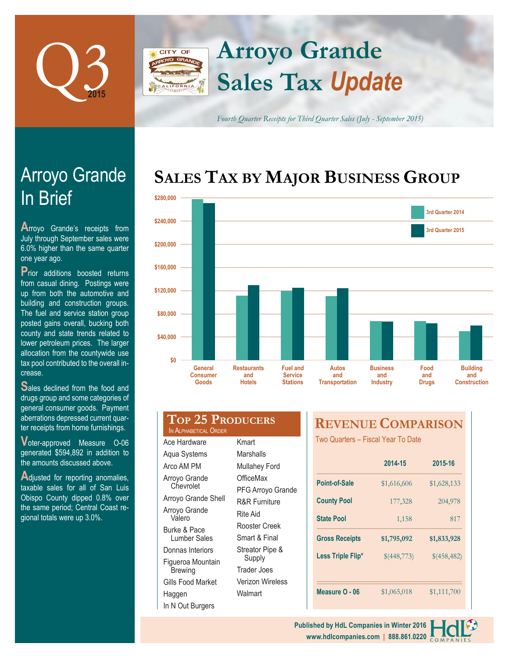

## **Arroyo Grande** CITY OF **Sales Tax** *Update*

*Fourth Quarter Receipts for Third Quarter Sales (July - September 2015)*

# **SALES TAX BY MAJOR BUSINESS GROUP**



| crease.                             |  |
|-------------------------------------|--|
| Sales declined from the food and    |  |
| drugs group and some categories of  |  |
| general consumer goods. Payment     |  |
| aberrations depressed current quar- |  |
| ter receipts from home furnishings. |  |

**V**oter-approved Measure O-06 generated \$594,892 in addition to the amounts discussed above.

Adjusted for reporting anomalies, taxable sales for all of San Luis Obispo County dipped 0.8% over the same period; Central Coast regional totals were up 3.0%.

| <b>TOP 25 PRODUCERS</b><br>IN ALPHABETICAL ORDER |                      |  |  |  |
|--------------------------------------------------|----------------------|--|--|--|
| Ace Hardware                                     | Kmart                |  |  |  |
| Aqua Systems                                     | Marshalls            |  |  |  |
| Arco AM PM                                       | <b>Mullahey Ford</b> |  |  |  |

Arroyo Grande **Chevrolet** Arroyo Grande Shell Arroyo Grande Valero Burke & Pace Lumber Sales Donnas Interiors Figueroa Mountain **Brewing** 

Gills Food Market

In N Out Burgers

Haggen

PFG Arroyo Grande R&R Furniture Rite Aid Rooster Creek Smart & Final Streator Pipe & Supply Trader Joes Verizon Wireless Walmart

**OfficeMax** 

## **REVENUE COMPARISON**

Two Quarters – Fiscal Year To Date

|                       | 2014-15     | 2015-16     |  |
|-----------------------|-------------|-------------|--|
| <b>Point-of-Sale</b>  | \$1,616,606 | \$1,628,133 |  |
| <b>County Pool</b>    | 177,328     | 204,978     |  |
| <b>State Pool</b>     | 1,158       | 817         |  |
|                       |             |             |  |
| <b>Gross Receipts</b> | \$1,795,092 | \$1,833,928 |  |
| Less Triple Flip*     | \$(448,773) | \$(458,482) |  |
|                       |             |             |  |



# In Brief Arroyo Grande

**A**rroyo Grande's receipts from July through September sales were 6.0% higher than the same quarter one year ago.

**P**rior additions boosted returns from casual dining. Postings were up from both the automotive and building and construction groups. The fuel and service station group posted gains overall, bucking both county and state trends related to lower petroleum prices. The larger allocation from the countywide use tax pool contributed to the overall increase.

**Top 25 Producers**